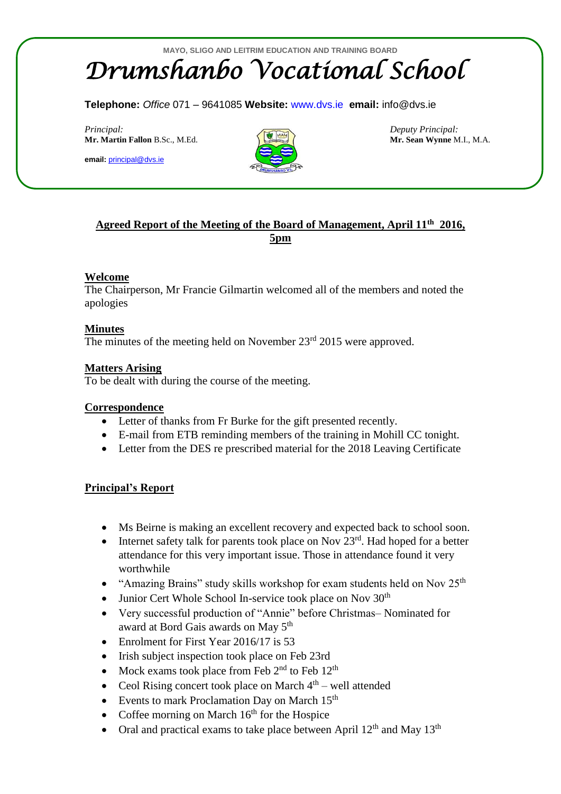# *Drumshanbo Vocational School*

**Telephone:** *Office* 071 – 9641085 **Website:** [www.dvs.ie](http://www.dvs.ie/) **email:** info@dvs.ie

*Principal: Deputy Principal:* **Mr. Martin Fallon** B.Sc., M.Ed. **Mr. Sean Wynne** M.I., M.A.

**email:** [principal@dvs.ie](mailto:principal@dvs.ie)



# **Agreed Report of the Meeting of the Board of Management, April 11th 2016, 5pm**

## **Welcome**

The Chairperson, Mr Francie Gilmartin welcomed all of the members and noted the apologies

## **Minutes**

The minutes of the meeting held on November 23<sup>rd</sup> 2015 were approved.

## **Matters Arising**

To be dealt with during the course of the meeting.

#### **Correspondence**

- Letter of thanks from Fr Burke for the gift presented recently.
- E-mail from ETB reminding members of the training in Mohill CC tonight.
- Letter from the DES re prescribed material for the 2018 Leaving Certificate

#### **Principal's Report**

- Ms Beirne is making an excellent recovery and expected back to school soon.
- Internet safety talk for parents took place on Nov  $23<sup>rd</sup>$ . Had hoped for a better attendance for this very important issue. Those in attendance found it very worthwhile
- "Amazing Brains" study skills workshop for exam students held on Nov 25<sup>th</sup>
- Junior Cert Whole School In-service took place on Nov  $30<sup>th</sup>$
- Very successful production of "Annie" before Christmas– Nominated for award at Bord Gais awards on May 5th
- Enrolment for First Year 2016/17 is 53
- Irish subject inspection took place on Feb 23rd
- Mock exams took place from Feb  $2<sup>nd</sup>$  to Feb  $12<sup>th</sup>$
- Ceol Rising concert took place on March  $4<sup>th</sup>$  well attended
- $\bullet$  Events to mark Proclamation Day on March 15<sup>th</sup>
- Coffee morning on March  $16<sup>th</sup>$  for the Hospice
- Oral and practical exams to take place between April  $12<sup>th</sup>$  and May  $13<sup>th</sup>$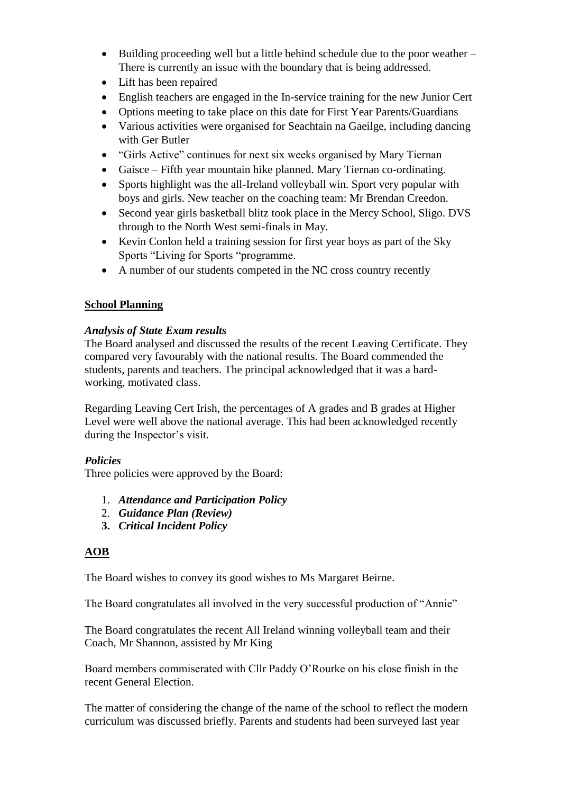- $\bullet$  Building proceeding well but a little behind schedule due to the poor weather There is currently an issue with the boundary that is being addressed.
- Lift has been repaired
- English teachers are engaged in the In-service training for the new Junior Cert
- Options meeting to take place on this date for First Year Parents/Guardians
- Various activities were organised for Seachtain na Gaeilge, including dancing with Ger Butler
- "Girls Active" continues for next six weeks organised by Mary Tiernan
- Gaisce Fifth year mountain hike planned. Mary Tiernan co-ordinating.
- Sports highlight was the all-Ireland volleyball win. Sport very popular with boys and girls. New teacher on the coaching team: Mr Brendan Creedon.
- Second year girls basketball blitz took place in the Mercy School, Sligo. DVS through to the North West semi-finals in May.
- Kevin Conlon held a training session for first year boys as part of the Sky Sports "Living for Sports "programme.
- A number of our students competed in the NC cross country recently

# **School Planning**

## *Analysis of State Exam results*

The Board analysed and discussed the results of the recent Leaving Certificate. They compared very favourably with the national results. The Board commended the students, parents and teachers. The principal acknowledged that it was a hardworking, motivated class.

Regarding Leaving Cert Irish, the percentages of A grades and B grades at Higher Level were well above the national average. This had been acknowledged recently during the Inspector's visit.

# *Policies*

Three policies were approved by the Board:

- 1. *Attendance and Participation Policy*
- 2. *Guidance Plan (Review)*
- **3.** *Critical Incident Policy*

# **AOB**

The Board wishes to convey its good wishes to Ms Margaret Beirne.

The Board congratulates all involved in the very successful production of "Annie"

The Board congratulates the recent All Ireland winning volleyball team and their Coach, Mr Shannon, assisted by Mr King

Board members commiserated with Cllr Paddy O'Rourke on his close finish in the recent General Election.

The matter of considering the change of the name of the school to reflect the modern curriculum was discussed briefly. Parents and students had been surveyed last year